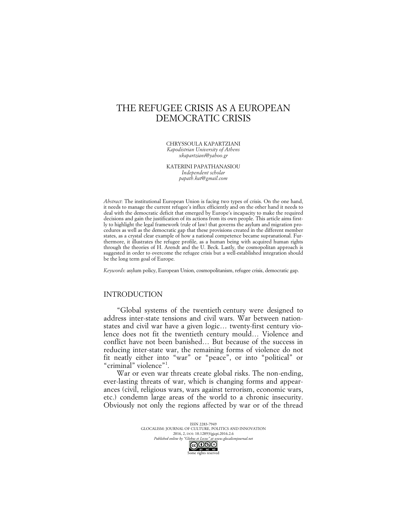# THE REFUGEE CRISIS AS A EUROPEAN DEMOCRATIC CRISIS

CHRYSSOULA KAPARTZIANI *Kapodistrian University of Athens xkapartziani@yahoo.gr*

KATERINI PAPATHANASIOU *Independent scholar papath.kat@gmail.com*

*Abstract*: The institutional European Union is facing two types of crisis. On the one hand, it needs to manage the current refugee's influx efficiently and on the other hand it needs to deal with the democratic deficit that emerged by Europe's incapacity to make the required decisions and gain the justification of its actions from its own people. This article aims firstly to highlight the legal framework (rule of law) that governs the asylum and migration procedures as well as the democratic gap that these provisions created in the different member states, as a crystal clear example of how a national competence became supranational. Furthermore, it illustrates the refugee profile, as a human being with acquired human rights through the theories of H. Arendt and the U. Beck. Lastly, the cosmopolitan approach is suggested in order to overcome the refugee crisis but a well-established integration should be the long term goal of Europe.

*Keywords*: asylum policy, European Union, cosmopolitanism, refugee crisis, democratic gap.

# INTRODUCTION

"Global systems of the twentieth century were designed to address inter-state tensions and civil wars. War between nationstates and civil war have a given logic… twenty-first century violence does not fit the twentieth century mould… Violence and conflict have not been banished… But because of the success in reducing inter-state war, the remaining forms of violence do not fit neatly either into "war" or "peace", or into "political" or "criminal" violence"<sup>1</sup>.

War or even war threats create global risks. The non-ending, ever-lasting threats of war, which is changing forms and appearances (civil, religious wars, wars against terrorism, economic wars, etc.) condemn large areas of the world to a chronic insecurity. Obviously not only the regions affected by war or of the thread

> ISSN 2283-7949 GLOCALISM: JOURNAL OF CULTURE, POLITICS AND INNOVATION 2016, 2, DOI: 10.12893/gjcpi.2016.2.6 *Published online by "Globus et Locus" at www.glocalismjournal.net*<br>  $\bigodot \bigodot$   $\bigodot$   $\bigodot$ Some rights reserved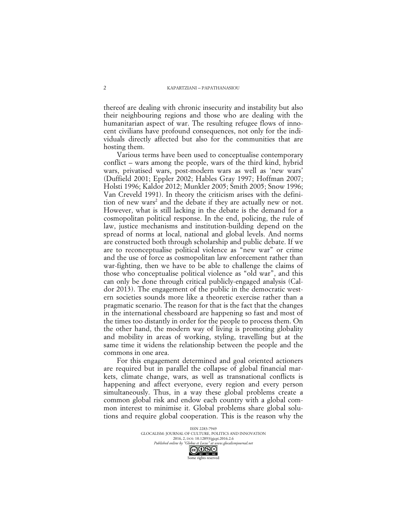thereof are dealing with chronic insecurity and instability but also their neighbouring regions and those who are dealing with the humanitarian aspect of war. The resulting refugee flows of innocent civilians have profound consequences, not only for the individuals directly affected but also for the communities that are hosting them.

Various terms have been used to conceptualise contemporary conflict – wars among the people, wars of the third kind, hybrid wars, privatised wars, post-modern wars as well as 'new wars' (Duffield 2001; Eppler 2002; Hables Gray 1997; Hoffman 2007; Holsti 1996; Kaldor 2012; Munkler 2005; Smith 2005; Snow 1996; Van Creveld 1991). In theory the criticism arises with the definition of new wars <sup>2</sup> and the debate if they are actually new or not. However, what is still lacking in the debate is the demand for a cosmopolitan political response. In the end, policing, the rule of law, justice mechanisms and institution-building depend on the spread of norms at local, national and global levels. And norms are constructed both through scholarship and public debate. If we are to reconceptualise political violence as "new war" or crime and the use of force as cosmopolitan law enforcement rather than war-fighting, then we have to be able to challenge the claims of those who conceptualise political violence as "old war", and this can only be done through critical publicly-engaged analysis (Caldor 2013). The engagement of the public in the democratic western societies sounds more like a theoretic exercise rather than a pragmatic scenario. The reason for that is the fact that the changes in the international chessboard are happening so fast and most of the times too distantly in order for the people to process them. On the other hand, the modern way of living is promoting globality and mobility in areas of working, styling, travelling but at the same time it widens the relationship between the people and the commons in one area.

For this engagement determined and goal oriented actioners are required but in parallel the collapse of global financial markets, climate change, wars, as well as transnational conflicts is happening and affect everyone, every region and every person simultaneously. Thus, in a way these global problems create a common global risk and endow each country with a global common interest to minimise it. Global problems share global solutions and require global cooperation. This is the reason why the

> ISSN 2283-7949 GLOCALISM: JOURNAL OF CULTURE, POLITICS AND INNOVATION 2016, 2, DOI: 10.12893/gjcpi.2016.2.6<br>nline by "Globus et Locus" at www.glocalismiournal net *Published online by "Globus et Locus" at www.glocalismigues*  $\bigodot$

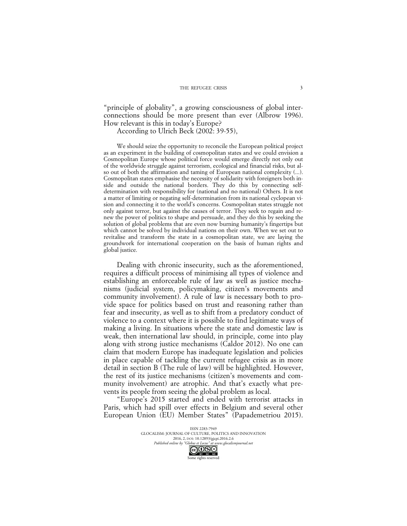"principle of globality", a growing consciousness of global interconnections should be more present than ever (Albrow 1996). How relevant is this in today's Europe?

According to Ulrich Beck (2002: 39-55),

We should seize the opportunity to reconcile the European political project as an experiment in the building of cosmopolitan states and we could envision a Cosmopolitan Europe whose political force would emerge directly not only out of the worldwide struggle against terrorism, ecological and financial risks, but also out of both the affirmation and taming of European national complexity (...). Cosmopolitan states emphasise the necessity of solidarity with foreigners both inside and outside the national borders. They do this by connecting selfdetermination with responsibility for (national and no national) Others. It is not a matter of limiting or negating self-determination from its national cyclopean vision and connecting it to the world's concerns. Cosmopolitan states struggle not only against terror, but against the causes of terror. They seek to regain and renew the power of politics to shape and persuade, and they do this by seeking the solution of global problems that are even now burning humanity's fingertips but which cannot be solved by individual nations on their own. When we set out to revitalise and transform the state in a cosmopolitan state, we are laying the groundwork for international cooperation on the basis of human rights and global justice.

Dealing with chronic insecurity, such as the aforementioned, requires a difficult process of minimising all types of violence and establishing an enforceable rule of law as well as justice mechanisms (judicial system, policymaking, citizen's movements and community involvement). A rule of law is necessary both to provide space for politics based on trust and reasoning rather than fear and insecurity, as well as to shift from a predatory conduct of violence to a context where it is possible to find legitimate ways of making a living. In situations where the state and domestic law is weak, then international law should, in principle, come into play along with strong justice mechanisms (Caldor 2012). No one can claim that modern Europe has inadequate legislation and policies in place capable of tackling the current refugee crisis as in more detail in section B (The rule of law) will be highlighted. However, the rest of its justice mechanisms (citizen's movements and community involvement) are atrophic. And that's exactly what prevents its people from seeing the global problem as local.

"Europe's 2015 started and ended with terrorist attacks in Paris, which had spill over effects in Belgium and several other European Union (EU) Member States" (Papademetriou 2015).

> ISSN 2283-7949 GLOCALISM: JOURNAL OF CULTURE, POLITICS AND INNOVATION 2016, 2, DOI: 10.12893/gjcpi.2016.2.6<br>nline by "Globus et Locus" at www.glocalismiournal.net *Published online by "Globus et Locus" at www.glocalismigues*  $\bigodot_{\text{BV}} \bigodot_{\text{NC}} \bigodot_{\text{ND}}$ Some rights reserved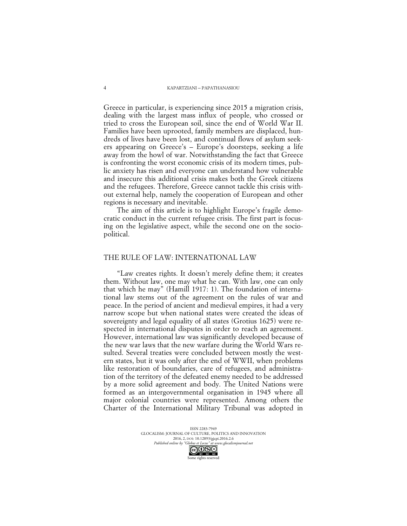#### KAPARTZIANI – PAPATHANASIOU

Greece in particular, is experiencing since 2015 a migration crisis, dealing with the largest mass influx of people, who crossed or tried to cross the European soil, since the end of World War II. Families have been uprooted, family members are displaced, hundreds of lives have been lost, and continual flows of asylum seekers appearing on Greece's – Europe's doorsteps, seeking a life away from the howl of war. Notwithstanding the fact that Greece is confronting the worst economic crisis of its modern times, public anxiety has risen and everyone can understand how vulnerable and insecure this additional crisis makes both the Greek citizens and the refugees. Therefore, Greece cannot tackle this crisis without external help, namely the cooperation of European and other regions is necessary and inevitable.

The aim of this article is to highlight Europe's fragile democratic conduct in the current refugee crisis. The first part is focusing on the legislative aspect, while the second one on the sociopolitical.

## THE RULE OF LAW: INTERNATIONAL LAW

"Law creates rights. It doesn't merely define them; it creates them. Without law, one may what he can. With law, one can only that which he may" (Hamill 1917: 1). The foundation of international law stems out of the agreement on the rules of war and peace. In the period of ancient and medieval empires, it had a very narrow scope but when national states were created the ideas of sovereignty and legal equality of all states (Grotius 1625) were respected in international disputes in order to reach an agreement. However, international law was significantly developed because of the new war laws that the new warfare during the World Wars resulted. Several treaties were concluded between mostly the western states, but it was only after the end of WWII, when problems like restoration of boundaries, care of refugees, and administration of the territory of the defeated enemy needed to be addressed by a more solid agreement and body. The United Nations were formed as an intergovernmental organisation in 1945 where all major colonial countries were represented. Among others the Charter of the International Military Tribunal was adopted in

> ISSN 2283-7949 GLOCALISM: JOURNAL OF CULTURE, POLITICS AND INNOVATION 2016, 2, DOI: 10.12893/gjcpi.2016.2.6<br>nline by "Globus et Locus" at www.glocalismiournal net *Published online by "Globus et Locus" at www.glocalismigues*  $\overline{\text{CC}}$

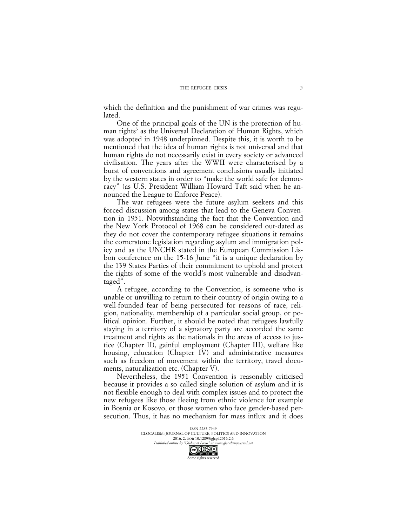which the definition and the punishment of war crimes was regulated.

One of the principal goals of the UN is the protection of human rights<sup>3</sup> as the Universal Declaration of Human Rights, which was adopted in 1948 underpinned. Despite this, it is worth to be mentioned that the idea of human rights is not universal and that human rights do not necessarily exist in every society or advanced civilisation. The years after the WWII were characterised by a burst of conventions and agreement conclusions usually initiated by the western states in order to "make the world safe for democracy" (as U.S. President William Howard Taft said when he announced the League to Enforce Peace).

The war refugees were the future asylum seekers and this forced discussion among states that lead to the Geneva Convention in 1951. Notwithstanding the fact that the Convention and the New York Protocol of 1968 can be considered out-dated as they do not cover the contemporary refugee situations it remains the cornerstone legislation regarding asylum and immigration policy and as the UNCHR stated in the European Commission Lisbon conference on the 15-16 June "it is a unique declaration by the 139 States Parties of their commitment to uphold and protect the rights of some of the world's most vulnerable and disadvantaged".

A refugee, according to the Convention, is someone who is unable or unwilling to return to their country of origin owing to a well-founded fear of being persecuted for reasons of race, religion, nationality, membership of a particular social group, or political opinion. Further, it should be noted that refugees lawfully staying in a territory of a signatory party are accorded the same treatment and rights as the nationals in the areas of access to justice (Chapter II), gainful employment (Chapter III), welfare like housing, education (Chapter IV) and administrative measures such as freedom of movement within the territory, travel documents, naturalization etc. (Chapter V).

Nevertheless, the 1951 Convention is reasonably criticised because it provides a so called single solution of asylum and it is not flexible enough to deal with complex issues and to protect the new refugees like those fleeing from ethnic violence for example in Bosnia or Kosovo, or those women who face gender-based persecution. Thus, it has no mechanism for mass influx and it does

> ISSN 2283-7949 GLOCALISM: JOURNAL OF CULTURE, POLITICS AND INNOVATION 2016, 2, DOI: 10.12893/gjcpi.2016.2.6<br>nline by "Globus et Locus" at www.glocalismiournal.net *Published online by "Globus et Locus" at www.glocalismigues*

Some rights reserved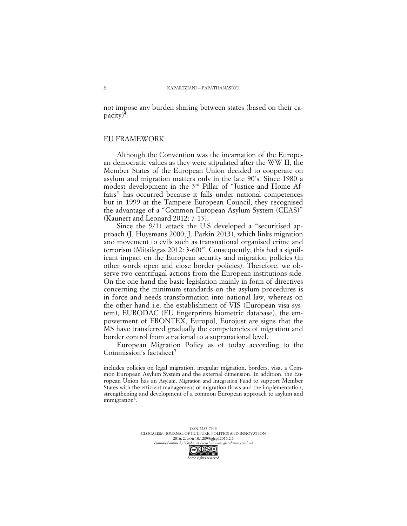not impose any burden sharing between states (based on their capacity)<sup>4</sup>.

# EU FRAMEWORK

Although the Convention was the incarnation of the European democratic values as they were stipulated after the WW II, the Member States of the European Union decided to cooperate on asylum and migration matters only in the late 90's. Since 1980 a modest development in the 3<sup>rd</sup> Pillar of "Justice and Home Affairs" has occurred because it falls under national competences but in 1999 at the Tampere European Council, they recognised the advantage of a "Common European Asylum System (CEAS)" (Kaunert and Leonard 2012: 7-13).

Since the 9/11 attack the U.S developed a "securitised approach (J. Huysmans 2000; J. Parkin 2013), which links migration and movement to evils such as transnational organised crime and terrorism (Mitsilegas 2012: 3-60)". Consequently, this had a significant impact on the European security and migration policies (in other words open and close border policies). Therefore, we observe two centrifugal actions from the European institutions side. On the one hand the basic legislation mainly in form of directives concerning the minimum standards on the asylum procedures is in force and needs transformation into national law, whereas on the other hand i.e. the establishment of VIS (European visa system), EURODAC (EU fingerprints biometric database), the empowerment of FRONTEX, Europol, Eurojust are signs that the MS have transferred gradually the competencies of migration and border control from a national to a supranational level.

European Migration Policy as of today according to the Commission's factsheet<sup>5</sup>

includes policies on legal migration, irregular migration, borders, visa, a Common European Asylum System and the external dimension. In addition, the European Union has an Asylum, Migration and Integration Fund to support Member States with the efficient management of migration flows and the implementation, strengthening and development of a common European approach to asylum and immigration<sup>6</sup>.

> ISSN 2283-7949 GLOCALISM: JOURNAL OF CULTURE, POLITICS AND INNOVATION 2016, 2, DOI: 10.12893/gjcpi.2016.2.6<br>nline by "Globus et Locus" at www.glocalismiournal.net

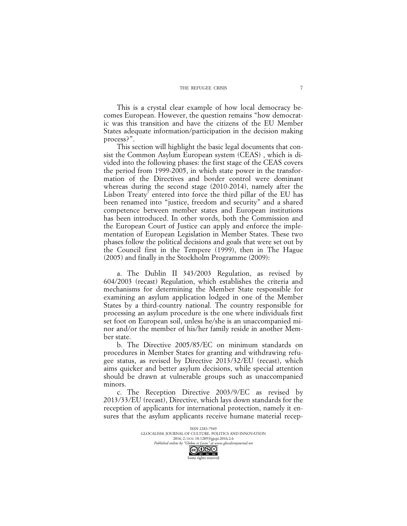This is a crystal clear example of how local democracy becomes European. However, the question remains "how democratic was this transition and have the citizens of the EU Member States adequate information/participation in the decision making process?".

This section will highlight the basic legal documents that consist the Common Asylum European system (CEAS) , which is divided into the following phases: the first stage of the CEAS covers the period from 1999-2005, in which state power in the transformation of the Directives and border control were dominant whereas during the second stage (2010-2014), namely after the Lisbon Treaty' entered into force the third pillar of the EU has been renamed into "justice, freedom and security" and a shared competence between member states and European institutions has been introduced. In other words, both the Commission and the European Court of Justice can apply and enforce the implementation of European Legislation in Member States. These two phases follow the political decisions and goals that were set out by the Council first in the Tempere (1999), then in The Hague (2005) and finally in the Stockholm Programme (2009):

a. The Dublin II 343/2003 Regulation, as revised by 604/2003 (recast) Regulation, which establishes the criteria and mechanisms for determining the Member State responsible for examining an asylum application lodged in one of the Member States by a third-country national. The country responsible for processing an asylum procedure is the one where individuals first set foot on European soil, unless he/she is an unaccompanied minor and/or the member of his/her family reside in another Member state.

b. The Directive 2005/85/EC on minimum standards on procedures in Member States for granting and withdrawing refugee status, as revised by Directive 2013/32/EU (recast), which aims quicker and better asylum decisions, while special attention should be drawn at vulnerable groups such as unaccompanied minors.

c. The Reception Directive 2003/9/EC as revised by 2013/33/EU (recast), Directive, which lays down standards for the reception of applicants for international protection, namely it ensures that the asylum applicants receive humane material recep-

> ISSN 2283-7949 GLOCALISM: JOURNAL OF CULTURE, POLITICS AND INNOVATION 2016, 2, DOI: 10.12893/gjcpi.2016.2.6<br>nline by "Globus et Locus" at www.glocalismiournal.net *Published online by "Globus et Locus" at www.glocalismigues*

Some rights reserved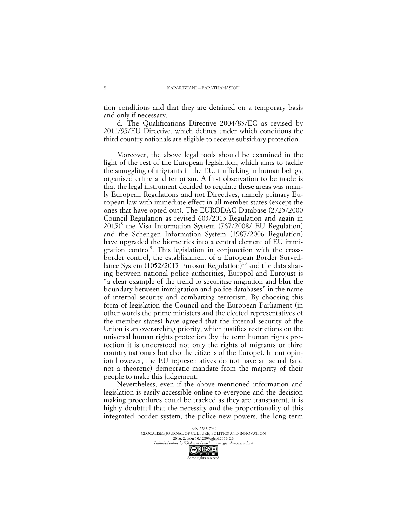tion conditions and that they are detained on a temporary basis and only if necessary.

d. The Qualifications Directive 2004/83/EC as revised by 2011/95/EU Directive, which defines under which conditions the third country nationals are eligible to receive subsidiary protection.

Moreover, the above legal tools should be examined in the light of the rest of the European legislation, which aims to tackle the smuggling of migrants in the EU, trafficking in human beings, organised crime and terrorism. A first observation to be made is that the legal instrument decided to regulate these areas was mainly European Regulations and not Directives, namely primary European law with immediate effect in all member states (except the ones that have opted out). The EURODAC Database (2725/2000 Council Regulation as revised 603/2013 Regulation and again in  $2015$ <sup>8</sup> the Visa Information System (767/2008/ EU Regulation) and the Schengen Information System (1987/2006 Regulation) have upgraded the biometrics into a central element of EU immigration control<sup>9</sup>. This legislation in conjunction with the crossborder control, the establishment of a European Border Surveillance System (1052/2013 Eurosur Regulation)<sup>10</sup> and the data sharing between national police authorities, Europol and Eurojust is "a clear example of the trend to securitise migration and blur the boundary between immigration and police databases" in the name of internal security and combatting terrorism. By choosing this form of legislation the Council and the European Parliament (in other words the prime ministers and the elected representatives of the member states) have agreed that the internal security of the Union is an overarching priority, which justifies restrictions on the universal human rights protection (by the term human rights protection it is understood not only the rights of migrants or third country nationals but also the citizens of the Europe). In our opinion however, the EU representatives do not have an actual (and not a theoretic) democratic mandate from the majority of their people to make this judgement.

Nevertheless, even if the above mentioned information and legislation is easily accessible online to everyone and the decision making procedures could be tracked as they are transparent, it is highly doubtful that the necessity and the proportionality of this integrated border system, the police new powers, the long term

> ISSN 2283-7949 GLOCALISM: JOURNAL OF CULTURE, POLITICS AND INNOVATION 2016, 2, DOI: 10.12893/gjcpi.2016.2.6<br>nline by "Globus et Locus" at www.glocalismiournal.net *Published online by "Globus et Locus" at www.glocalismigues*

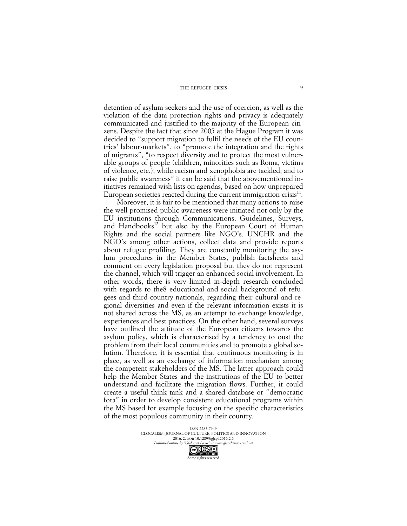detention of asylum seekers and the use of coercion, as well as the violation of the data protection rights and privacy is adequately communicated and justified to the majority of the European citizens. Despite the fact that since 2005 at the Hague Program it was decided to "support migration to fulfil the needs of the EU countries' labour-markets", to "promote the integration and the rights of migrants", "to respect diversity and to protect the most vulnerable groups of people (children, minorities such as Roma, victims of violence, etc.), while racism and xenophobia are tackled; and to raise public awareness" it can be said that the abovementioned initiatives remained wish lists on agendas, based on how unprepared European societies reacted during the current immigration crisis $\mathbf{F}^{\text{1}}$ .

Moreover, it is fair to be mentioned that many actions to raise the well promised public awareness were initiated not only by the EU institutions through Communications, Guidelines, Surveys, and Handbooks<sup>12</sup> but also by the European Court of Human Rights and the social partners like NGO's. UNCHR and the NGO's among other actions, collect data and provide reports about refugee profiling. They are constantly monitoring the asylum procedures in the Member States, publish factsheets and comment on every legislation proposal but they do not represent the channel, which will trigger an enhanced social involvement. In other words, there is very limited in-depth research concluded with regards to the8 educational and social background of refugees and third-country nationals, regarding their cultural and regional diversities and even if the relevant information exists it is not shared across the MS, as an attempt to exchange knowledge, experiences and best practices. On the other hand, several surveys have outlined the attitude of the European citizens towards the asylum policy, which is characterised by a tendency to oust the problem from their local communities and to promote a global solution. Therefore, it is essential that continuous monitoring is in place, as well as an exchange of information mechanism among the competent stakeholders of the MS. The latter approach could help the Member States and the institutions of the EU to better understand and facilitate the migration flows. Further, it could create a useful think tank and a shared database or "democratic fora" in order to develop consistent educational programs within the MS based for example focusing on the specific characteristics of the most populous community in their country.

> ISSN 2283-7949 GLOCALISM: JOURNAL OF CULTURE, POLITICS AND INNOVATION 2016, 2, DOI: 10.12893/gjcpi.2016.2.6<br>nline by "Globus et Locus" at www.glocalismiournal net *Published online by "Globus et Locus" at www.glocalismigues*  $\bigodot_{\text{BV}} \bigodot_{\text{NC}} \bigodot_{\text{ND}}$

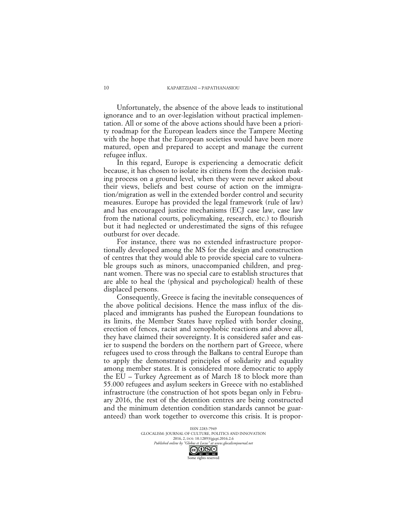#### KAPARTZIANI – PAPATHANASIOU

Unfortunately, the absence of the above leads to institutional ignorance and to an over-legislation without practical implementation. All or some of the above actions should have been a priority roadmap for the European leaders since the Tampere Meeting with the hope that the European societies would have been more matured, open and prepared to accept and manage the current refugee influx.

In this regard, Europe is experiencing a democratic deficit because, it has chosen to isolate its citizens from the decision making process on a ground level, when they were never asked about their views, beliefs and best course of action on the immigration/migration as well in the extended border control and security measures. Europe has provided the legal framework (rule of law) and has encouraged justice mechanisms (ECJ case law, case law from the national courts, policymaking, research, etc.) to flourish but it had neglected or underestimated the signs of this refugee outburst for over decade.

For instance, there was no extended infrastructure proportionally developed among the MS for the design and construction of centres that they would able to provide special care to vulnerable groups such as minors, unaccompanied children, and pregnant women. There was no special care to establish structures that are able to heal the (physical and psychological) health of these displaced persons.

Consequently, Greece is facing the inevitable consequences of the above political decisions. Hence the mass influx of the displaced and immigrants has pushed the European foundations to its limits, the Member States have replied with border closing, erection of fences, racist and xenophobic reactions and above all, they have claimed their sovereignty. It is considered safer and easier to suspend the borders on the northern part of Greece, where refugees used to cross through the Balkans to central Europe than to apply the demonstrated principles of solidarity and equality among member states. It is considered more democratic to apply the EU – Turkey Agreement as of March 18 to block more than 55.000 refugees and asylum seekers in Greece with no established infrastructure (the construction of hot spots began only in February 2016, the rest of the detention centres are being constructed and the minimum detention condition standards cannot be guaranteed) than work together to overcome this crisis. It is propor-

> ISSN 2283-7949 GLOCALISM: JOURNAL OF CULTURE, POLITICS AND INNOVATION 2016, 2, DOI: 10.12893/gjcpi.2016.2.6<br>nline by "Globus et Locus" at www.glocalismiournal.net *Published online by "Globus et Locus" at www.glocalismigues*

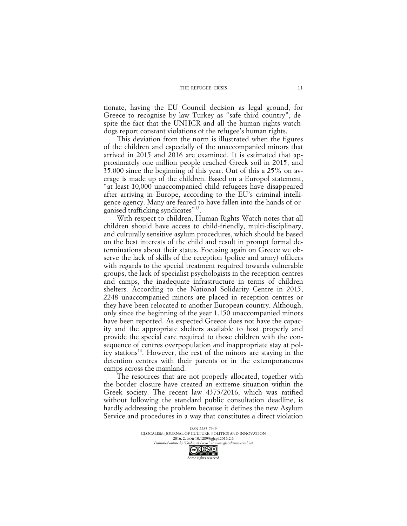#### THE REFUGEE CRISIS

tionate, having the EU Council decision as legal ground, for Greece to recognise by law Turkey as "safe third country", despite the fact that the UNHCR and all the human rights watchdogs report constant violations of the refugee's human rights.

This deviation from the norm is illustrated when the figures of the children and especially of the unaccompanied minors that arrived in 2015 and 2016 are examined. It is estimated that approximately one million people reached Greek soil in 2015, and 35.000 since the beginning of this year. Out of this a 25% on average is made up of the children. Based on a Europol statement, "at least 10,000 unaccompanied child refugees have disappeared after arriving in Europe, according to the EU's criminal intelligence agency. Many are feared to have fallen into the hands of organised trafficking syndicates"13.

With respect to children, Human Rights Watch notes that all children should have access to child-friendly, multi-disciplinary, and culturally sensitive asylum procedures, which should be based on the best interests of the child and result in prompt formal determinations about their status. Focusing again on Greece we observe the lack of skills of the reception (police and army) officers with regards to the special treatment required towards vulnerable groups, the lack of specialist psychologists in the reception centres and camps, the inadequate infrastructure in terms of children shelters. According to the National Solidarity Centre in 2015, 2248 unaccompanied minors are placed in reception centres or they have been relocated to another European country. Although, only since the beginning of the year 1.150 unaccompanied minors have been reported. As expected Greece does not have the capacity and the appropriate shelters available to host properly and provide the special care required to those children with the consequence of centres overpopulation and inappropriate stay at policy stations<sup>14</sup>. However, the rest of the minors are staying in the detention centres with their parents or in the extemporaneous camps across the mainland.

The resources that are not properly allocated, together with the border closure have created an extreme situation within the Greek society. The recent law 4375/2016, which was ratified without following the standard public consultation deadline, is hardly addressing the problem because it defines the new Asylum Service and procedures in a way that constitutes a direct violation

> ISSN 2283-7949 GLOCALISM: JOURNAL OF CULTURE, POLITICS AND INNOVATION 2016, 2, DOI: 10.12893/gjcpi.2016.2.6<br>nline by "Globus et Locus" at www.glocalismiournal net *Published online by "Globus et Locus" at www.glocalismigues*  $\bigodot_{\text{BV}} \bigodot_{\text{NC}} \bigodot_{\text{ND}}$

Some rights reserved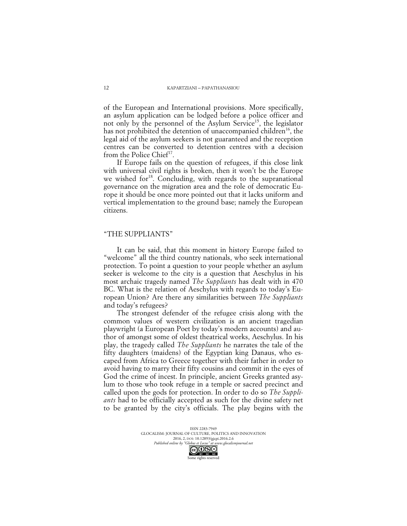of the European and International provisions. More specifically, an asylum application can be lodged before a police officer and not only by the personnel of the Asylum Service<sup>15</sup>, the legislator has not prohibited the detention of unaccompanied children<sup>16</sup>, the legal aid of the asylum seekers is not guaranteed and the reception centres can be converted to detention centres with a decision from the Police Chief<sup>17</sup>.

If Europe fails on the question of refugees, if this close link with universal civil rights is broken, then it won't be the Europe we wished for<sup>18</sup>. Concluding, with regards to the supranational governance on the migration area and the role of democratic Europe it should be once more pointed out that it lacks uniform and vertical implementation to the ground base; namely the European citizens.

### "THE SUPPLIANTS"

It can be said, that this moment in history Europe failed to "welcome" all the third country nationals, who seek international protection. To point a question to your people whether an asylum seeker is welcome to the city is a question that Aeschylus in his most archaic tragedy named *The Suppliants* has dealt with in 470 BC. What is the relation of Aeschylus with regards to today's European Union? Are there any similarities between *The Suppliants* and today's refugees?

The strongest defender of the refugee crisis along with the common values of western civilization is an ancient tragedian playwright (a European Poet by today's modern accounts) and author of amongst some of oldest theatrical works, Aeschylus. In his play, the tragedy called *The Suppliants* he narrates the tale of the fifty daughters (maidens) of the Egyptian king Danaus, who escaped from Africa to Greece together with their father in order to avoid having to marry their fifty cousins and commit in the eyes of God the crime of incest. In principle, ancient Greeks granted asylum to those who took refuge in a temple or sacred precinct and called upon the gods for protection. In order to do so *The Suppliants* had to be officially accepted as such for the divine safety net to be granted by the city's officials. The play begins with the

> ISSN 2283-7949 GLOCALISM: JOURNAL OF CULTURE, POLITICS AND INNOVATION 2016, 2, DOI: 10.12893/gjcpi.2016.2.6<br>nline by "Globus et Locus" at www.glocalismiournal net *Published online by "Globus et Locus" at www.glocalismigues*



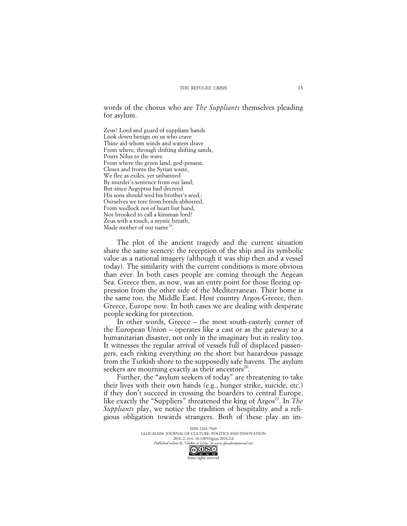words of the chorus who are *The Suppliants* themselves pleading for asylum.

Zeus! Lord and guard of suppliant hands Look down benign on us who crave Thine aid-whom winds and waters drave From where, through drifting shifting sands, Pours Nilus to the wave. From where the green land, god-possest, Closes and fronts the Syrian waste, We flee as exiles, yet unbanned By murder's sentence from our land; But-since Aegyptus had decreed His sons should wed his brother's seed,- Ourselves we tore from bonds abhorred, From wedlock not of heart but hand, Nor brooked to call a kinsman lord! Zeus with a touch, a mystic breath, Made mother of our name<sup>19</sup>.

The plot of the ancient tragedy and the current situation share the same scenery: the reception of the ship and its symbolic value as a national imagery (although it was ship then and a vessel today). The similarity with the current conditions is more obvious than ever. In both cases people are coming through the Aegean Sea. Greece then, as now, was an entry point for those fleeing oppression from the other side of the Mediterranean. Their home is the same too, the Middle East. Host country Argos-Greece, then. Greece, Europe now. In both cases we are dealing with desperate people seeking for protection.

In other words, Greece – the most south-easterly corner of the European Union – operates like a cast or as the gateway to a humanitarian disaster, not only in the imaginary but in reality too. It witnesses the regular arrival of vessels full of displaced passengers, each risking everything on the short but hazardous passage from the Turkish shore to the supposedly safe havens. The asylum seekers are mourning exactly as their ancestors $20$ .

Further, the "asylum seekers of today" are threatening to take their lives with their own hands (e.g., hunger strike, suicide, etc.) if they don't succeed in crossing the boarders to central Europe, like exactly the "Suppliers" threatened the king of Argos<sup>21</sup>. In *The Suppliants* play, we notice the tradition of hospitality and a religious obligation towards strangers. Both of these play an im-

> ISSN 2283-7949 GLOCALISM: JOURNAL OF CULTURE, POLITICS AND INNOVATION 2016, 2, DOI: 10.12893/gjcpi.2016.2.6<br>nline by "Globus et Locus" at www.glocalismiournal.net *Published online by "Globus et Locus" at www.glocalismigues*  $\bigodot_{\text{BV}} \bigodot_{\text{NC}} \bigodot_{\text{ND}}$

Some rights reserved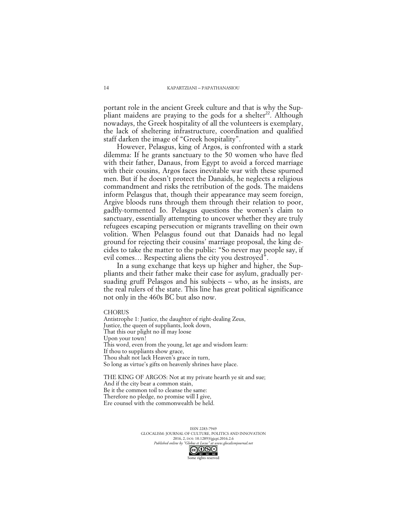portant role in the ancient Greek culture and that is why the Suppliant maidens are praying to the gods for a shelter 22. Although nowadays, the Greek hospitality of all the volunteers is exemplary, the lack of sheltering infrastructure, coordination and qualified staff darken the image of "Greek hospitality".

However, Pelasgus, king of Argos, is confronted with a stark dilemma: If he grants sanctuary to the 50 women who have fled with their father, Danaus, from Egypt to avoid a forced marriage with their cousins, Argos faces inevitable war with these spurned men. But if he doesn't protect the Danaids, he neglects a religious commandment and risks the retribution of the gods. The maidens inform Pelasgus that, though their appearance may seem foreign, Argive bloods runs through them through their relation to poor, gadfly-tormented Io. Pelasgus questions the women's claim to sanctuary, essentially attempting to uncover whether they are truly refugees escaping persecution or migrants travelling on their own volition. When Pelasgus found out that Danaids had no legal ground for rejecting their cousins' marriage proposal, the king decides to take the matter to the public: "So never may people say, if evil comes… Respecting aliens the city you destroyed".

In a sung exchange that keys up higher and higher, the Suppliants and their father make their case for asylum, gradually persuading gruff Pelasgos and his subjects – who, as he insists, are the real rulers of the state. This line has great political significance not only in the 460s BC but also now.

#### **CHORUS**

Antistrophe 1: Justice, the daughter of right-dealing Zeus, Justice, the queen of suppliants, look down, That this our plight no ill may loose Upon your town! This word, even from the young, let age and wisdom learn: If thou to suppliants show grace, Thou shalt not lack Heaven's grace in turn, So long as virtue's gifts on heavenly shrines have place.

THE KING OF ARGOS: Not at my private hearth ye sit and sue; And if the city bear a common stain, Be it the common toil to cleanse the same: Therefore no pledge, no promise will I give, Ere counsel with the commonwealth be held.

> ISSN 2283-7949 GLOCALISM: JOURNAL OF CULTURE, POLITICS AND INNOVATION 2016, 2, DOI: 10.12893/gjcpi.2016.2.6<br>nline by "Globus et Locus" at www.glocalismiournal.net

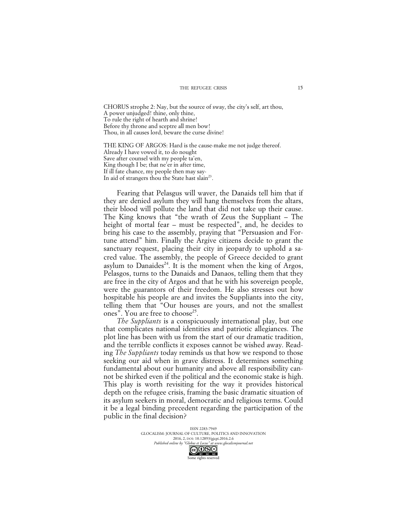#### THE REFUGEE CRISIS

CHORUS strophe 2: Nay, but the source of sway, the city's self, art thou, A power unjudged! thine, only thine, To rule the right of hearth and shrine! Before thy throne and sceptre all men bow! Thou, in all causes lord, beware the curse divine!

THE KING OF ARGOS: Hard is the cause-make me not judge thereof. Already I have vowed it, to do nought Save after counsel with my people ta'en, King though I be; that ne'er in after time, If ill fate chance, my people then may say-In aid of strangers thou the State hast slain<sup>23</sup>.

Fearing that Pelasgus will waver, the Danaids tell him that if they are denied asylum they will hang themselves from the altars, their blood will pollute the land that did not take up their cause. The King knows that "the wrath of Zeus the Suppliant – The height of mortal fear – must be respected", and, he decides to bring his case to the assembly, praying that "Persuasion and Fortune attend" him. Finally the Argive citizens decide to grant the sanctuary request, placing their city in jeopardy to uphold a sacred value. Τhe assembly, the people of Greece decided to grant asylum to Danaides<sup>24</sup>. It is the moment when the king of Argos, Pelasgos, turns to the Danaids and Danaos, telling them that they are free in the city of Argos and that he with his sovereign people, were the guarantors of their freedom. He also stresses out how hospitable his people are and invites the Suppliants into the city, telling them that "Our houses are yours, and not the smallest ones". You are free to choose<sup>25</sup>.

*The Suppliants* is a conspicuously international play, but one that complicates national identities and patriotic allegiances. The plot line has been with us from the start of our dramatic tradition, and the terrible conflicts it exposes cannot be wished away. Reading *The Suppliants* today reminds us that how we respond to those seeking our aid when in grave distress. It determines something fundamental about our humanity and above all responsibility cannot be shirked even if the political and the economic stake is high. This play is worth revisiting for the way it provides historical depth on the refugee crisis, framing the basic dramatic situation of its asylum seekers in moral, democratic and religious terms. Could it be a legal binding precedent regarding the participation of the public in the final decision?

> ISSN 2283-7949 GLOCALISM: JOURNAL OF CULTURE, POLITICS AND INNOVATION 2016, 2, DOI: 10.12893/gjcpi.2016.2.6<br>nline by "Globus et Locus" at www.glocalismiournal.net *Published online by "Globus et Locus" at www.glocalismigues*

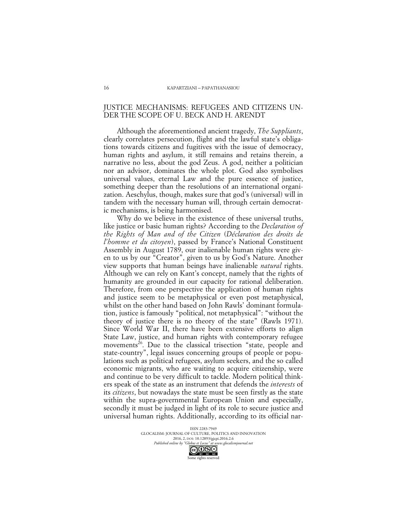# JUSTICE MECHANISMS: REFUGEES AND CITIZENS UN-DER THE SCOPE OF U. BECK AND H. ARENDT

Although the aforementioned ancient tragedy, *The Suppliants*, clearly correlates persecution, flight and the lawful state's obligations towards citizens and fugitives with the issue of democracy, human rights and asylum, it still remains and retains therein, a narrative no less, about the god Zeus. A god, neither a politician nor an advisor, dominates the whole plot. God also symbolises universal values, eternal Law and the pure essence of justice, something deeper than the resolutions of an international organization. Aeschylus, though, makes sure that god's (universal) will in tandem with the necessary human will, through certain democratic mechanisms, is being harmonised.

Why do we believe in the existence of these universal truths, like justice or basic human rights? According to the *Declaration of the Rights of Man and of the Citizen* (*Déclaration des droits de l'homme et du citoyen*), passed by France's National Constituent Assembly in August 1789, our inalienable human rights were given to us by our "Creator", given to us by God's Nature. Another view supports that human beings have inalienable *natural* rights. Although we can rely on Kant's concept, namely that the rights of humanity are grounded in our capacity for rational deliberation. Therefore, from one perspective the application of human rights and justice seem to be metaphysical or even post metaphysical, whilst on the other hand based on John Rawls' dominant formulation, justice is famously "political, not metaphysical": "without the theory of justice there is no theory of the state" (Rawls 1971). Since World War II, there have been extensive efforts to align State Law, justice, and human rights with contemporary refugee movements<sup>26</sup>. Due to the classical trisection "state, people and state-country", legal issues concerning groups of people or populations such as political refugees, asylum seekers, and the so called economic migrants, who are waiting to acquire citizenship, were and continue to be very difficult to tackle. Modern political thinkers speak of the state as an instrument that defends the *interests* of its *citizens*, but nowadays the state must be seen firstly as the state within the supra-governmental European Union and especially, secondly it must be judged in light of its role to secure justice and universal human rights. Additionally, according to its official nar-

> ISSN 2283-7949 GLOCALISM: JOURNAL OF CULTURE, POLITICS AND INNOVATION 2016, 2, DOI: 10.12893/gjcpi.2016.2.6<br>nline by "Globus et Locus" at www.glocalismiournal net *Published online by "Globus et Locus" at www.glocalismigues*  $\bigodot_{\text{BV}} \bigodot_{\text{NC}} \bigodot_{\text{ND}}$

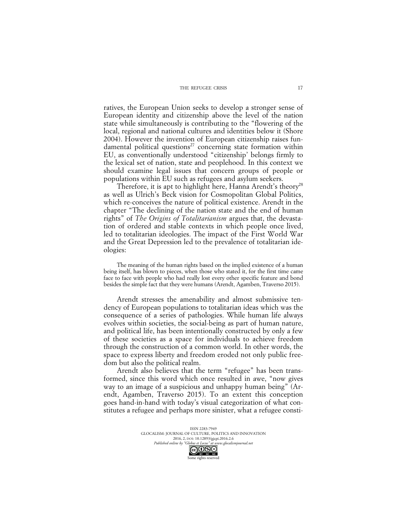#### THE REFUGEE CRISIS

ratives, the European Union seeks to develop a stronger sense of European identity and citizenship above the level of the nation state while simultaneously is contributing to the "flowering of the local, regional and national cultures and identities below it (Shore 2004). However the invention of European citizenship raises fundamental political questions<sup>27</sup> concerning state formation within EU, as conventionally understood "citizenship' belongs firmly to the lexical set of nation, state and peoplehood. In this context we should examine legal issues that concern groups of people or populations within EU such as refugees and asylum seekers.

Therefore, it is apt to highlight here, Hanna Arendt's theory<sup>28</sup> as well as Ulrich's Beck vision for Cosmopolitan Global Politics, which re-conceives the nature of political existence. Arendt in the chapter "The declining of the nation state and the end of human rights" of *The Origins of Totalitarianism* argues that, the devastation of ordered and stable contexts in which people once lived, led to totalitarian ideologies. The impact of the First World War and the Great Depression led to the prevalence of totalitarian ideologies:

The meaning of the human rights based on the implied existence of a human being itself, has blown to pieces, when those who stated it, for the first time came face to face with people who had really lost every other specific feature and bond besides the simple fact that they were humans (Arendt, Agamben, Traverso 2015).

Arendt stresses the amenability and almost submissive tendency of European populations to totalitarian ideas which was the consequence of a series of pathologies. While human life always evolves within societies, the social-being as part of human nature, and political life, has been intentionally constructed by only a few of these societies as a space for individuals to achieve freedom through the construction of a common world. In other words, the space to express liberty and freedom eroded not only public freedom but also the political realm.

Arendt also believes that the term "refugee" has been transformed, since this word which once resulted in awe, "now gives way to an image of a suspicious and unhappy human being" (Arendt, Agamben, Traverso 2015). To an extent this conception goes hand-in-hand with today's visual categorization of what constitutes a refugee and perhaps more sinister, what a refugee consti-

> ISSN 2283-7949 GLOCALISM: JOURNAL OF CULTURE, POLITICS AND INNOVATION 2016, 2, DOI: 10.12893/gjcpi.2016.2.6<br>nline by "Globus et Locus" at www.glocalismiournal net *Published online by "Globus et Locus" at www.glocalismigues*  $\bigodot$   $\bigodot$   $\bigodot$   $\bigodot$

Some rights reserved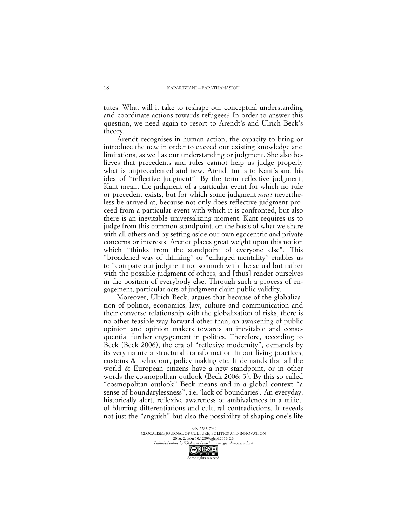tutes. What will it take to reshape our conceptual understanding and coordinate actions towards refugees? In order to answer this question, we need again to resort to Arendt's and Ulrich Beck's theory.

Arendt recognises in human action, the capacity to bring or introduce the new in order to exceed our existing knowledge and limitations, as well as our understanding or judgment. She also believes that precedents and rules cannot help us judge properly what is unprecedented and new. Arendt turns to Kant's and his idea of "reflective judgment". By the term reflective judgment, Kant meant the judgment of a particular event for which no rule or precedent exists, but for which some judgment *must* nevertheless be arrived at, because not only does reflective judgment proceed from a particular event with which it is confronted, but also there is an inevitable universalizing moment. Kant requires us to judge from this common standpoint, on the basis of what we share with all others and by setting aside our own egocentric and private concerns or interests. Arendt places great weight upon this notion which "thinks from the standpoint of everyone else". This "broadened way of thinking" or "enlarged mentality" enables us to "compare our judgment not so much with the actual but rather with the possible judgment of others, and [thus] render ourselves in the position of everybody else. Through such a process of engagement, particular acts of judgment claim public validity.

Moreover, Ulrich Beck, argues that because of the globalization of politics, economics, law, culture and communication and their converse relationship with the globalization of risks, there is no other feasible way forward other than, an awakening of public opinion and opinion makers towards an inevitable and consequential further engagement in politics. Therefore, according to Beck (Beck 2006), the era of "reflexive modernity", demands by its very nature a structural transformation in our living practices, customs & behaviour, policy making etc. It demands that all the world & European citizens have a new standpoint, or in other words the cosmopolitan outlook (Beck 2006: 3). By this so called "cosmopolitan outlook" Beck means and in a global context "a sense of boundarylessness", i.e. 'lack of boundaries'. An everyday, historically alert, reflexive awareness of ambivalences in a milieu of blurring differentiations and cultural contradictions. It reveals not just the "anguish" but also the possibility of shaping one's life

> ISSN 2283-7949 GLOCALISM: JOURNAL OF CULTURE, POLITICS AND INNOVATION 2016, 2, DOI: 10.12893/gjcpi.2016.2.6<br>nline by "Globus et Locus" at www.glocalismiournal net *Published online by "Globus et Locus" at www.glocalismigues*  $\bigodot$   $\bigodot$   $\bigodot$   $\bigodot$

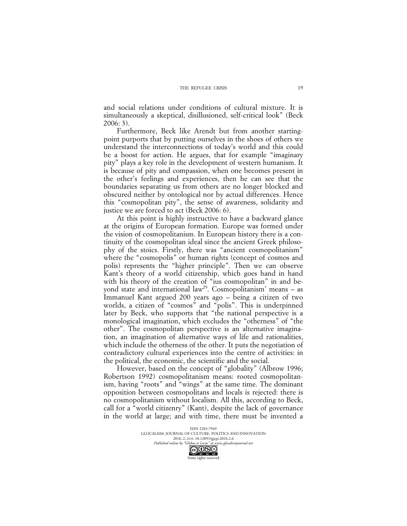and social relations under conditions of cultural mixture. It is simultaneously a skeptical, disillusioned, self-critical look" (Beck 2006: 3).

Furthermore, Beck like Arendt but from another startingpoint purports that by putting ourselves in the shoes of others we understand the interconnections of today's world and this could be a boost for action. He argues, that for example "imaginary pity" plays a key role in the development of western humanism. It is because of pity and compassion, when one becomes present in the other's feelings and experiences, then he can see that the boundaries separating us from others are no longer blocked and obscured neither by ontological nor by actual differences. Hence this "cosmopolitan pity", the sense of awareness, solidarity and justice we are forced to act (Beck 2006: 6).

At this point is highly instructive to have a backward glance at the origins of European formation. Europe was formed under the vision of cosmopolitanism. In European history there is a continuity of the cosmopolitan ideal since the ancient Greek philosophy of the stoics. Firstly, there was "ancient cosmopolitanism" where the "cosmopolis" or human rights (concept of cosmos and polis) represents the "higher principle". Then we can observe Kant's theory of a world citizenship, which goes hand in hand with his theory of the creation of "ius cosmopolitan" in and beyond state and international law<sup>29</sup>. Cosmopolitanism' means  $-$  as Immanuel Kant argued 200 years ago – being a citizen of two worlds, a citizen of "cosmos" and "polis". This is underpinned later by Beck, who supports that "the national perspective is a monological imagination, which excludes the "otherness" of "the other". The cosmopolitan perspective is an alternative imagination, an imagination of alternative ways of life and rationalities, which include the otherness of the other. It puts the negotiation of contradictory cultural experiences into the centre of activities: in the political, the economic, the scientific and the social.

However, based on the concept of "globality" (Albrow 1996; Robertson 1992) cosmopolitanism means: rooted cosmopolitanism, having "roots" and "wings" at the same time. The dominant opposition between cosmopolitans and locals is rejected: there is no cosmopolitanism without localism. All this, according to Beck, call for a "world citizenry" (Kant), despite the lack of governance in the world at large; and with time, there must be invented a

> ISSN 2283-7949 GLOCALISM: JOURNAL OF CULTURE, POLITICS AND INNOVATION 2016, 2, DOI: 10.12893/gjcpi.2016.2.6<br>nline by "Globus et Locus" at www.glocalismiournal net *Published online by "Globus et Locus" at www.glocalismigues*

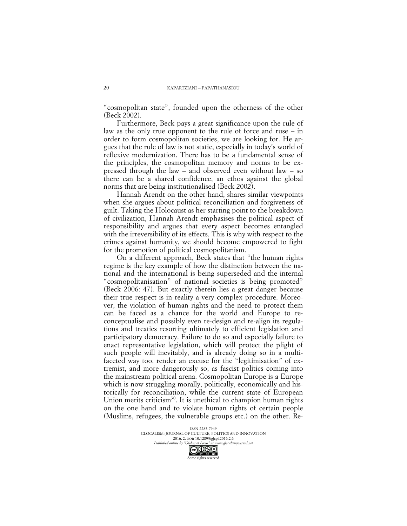"cosmopolitan state", founded upon the otherness of the other (Beck 2002).

Furthermore, Beck pays a great significance upon the rule of law as the only true opponent to the rule of force and ruse – in order to form cosmopolitan societies, we are looking for. He argues that the rule of law is not static, especially in today's world of reflexive modernization. There has to be a fundamental sense of the principles, the cosmopolitan memory and norms to be expressed through the law – and observed even without law – so there can be a shared confidence, an ethos against the global norms that are being institutionalised (Beck 2002).

Hannah Arendt on the other hand, shares similar viewpoints when she argues about political reconciliation and forgiveness of guilt. Taking the Holocaust as her starting point to the breakdown of civilization, Hannah Arendt emphasises the political aspect of responsibility and argues that every aspect becomes entangled with the irreversibility of its effects. This is why with respect to the crimes against humanity, we should become empowered to fight for the promotion of political cosmopolitanism.

On a different approach, Beck states that "the human rights regime is the key example of how the distinction between the national and the international is being superseded and the internal "cosmopolitanisation" of national societies is being promoted" (Beck 2006: 47). But exactly therein lies a great danger because their true respect is in reality a very complex procedure. Moreover, the violation of human rights and the need to protect them can be faced as a chance for the world and Europe to reconceptualise and possibly even re-design and re-align its regulations and treaties resorting ultimately to efficient legislation and participatory democracy. Failure to do so and especially failure to enact representative legislation, which will protect the plight of such people will inevitably, and is already doing so in a multifaceted way too, render an excuse for the "legitimisation" of extremist, and more dangerously so, as fascist politics coming into the mainstream political arena. Cosmopolitan Europe is a Europe which is now struggling morally, politically, economically and historically for reconciliation, while the current state of European Union merits criticism<sup>30</sup>. It is unethical to champion human rights on the one hand and to violate human rights of certain people (Muslims, refugees, the vulnerable groups etc.) on the other. Re-

> ISSN 2283-7949 GLOCALISM: JOURNAL OF CULTURE, POLITICS AND INNOVATION 2016, 2, DOI: 10.12893/gjcpi.2016.2.6<br>nline by "Globus et Locus" at www.glocalismiournal net *Published online by "Globus et Locus" at www.glocalismigues*  $\bigodot_{\text{BV}} \bigodot_{\text{NC}} \bigodot_{\text{ND}}$

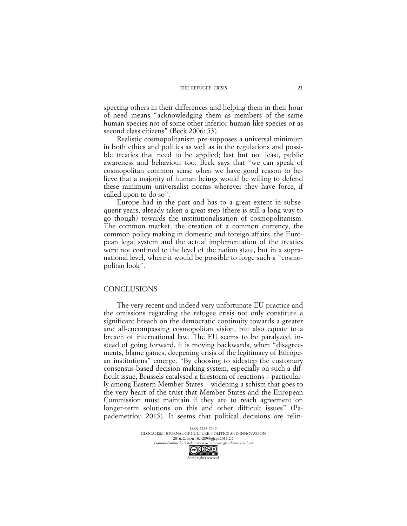specting others in their differences and helping them in their hour of need means "acknowledging them as members of the same human species not of some other inferior human-like species or as second class citizens" (Beck 2006: 53).

Realistic cosmopolitanism pre-supposes a universal minimum in both ethics and politics as well as in the regulations and possible treaties that need to be applied; last but not least, public awareness and behaviour too. Beck says that "we can speak of cosmopolitan common sense when we have good reason to believe that a majority of human beings would be willing to defend these minimum universalist norms wherever they have force, if called upon to do so".

Europe had in the past and has to a great extent in subsequent years, already taken a great step (there is still a long way to go though) towards the institutionalisation of cosmopolitanism. The common market, the creation of a common currency, the common policy making in domestic and foreign affairs, the European legal system and the actual implementation of the treaties were not confined to the level of the nation state, but in a supranational level, where it would be possible to forge such a "cosmopolitan look".

### CONCLUSIONS

The very recent and indeed very unfortunate EU practice and the omissions regarding the refugee crisis not only constitute a significant breach on the democratic continuity towards a greater and all-encompassing cosmopolitan vision, but also equate to a breach of international law. The EU seems to be paralyzed, instead of going forward, it is moving backwards, when "disagreements, blame games, deepening crisis of the legitimacy of European institutions" emerge. "By choosing to sidestep the customary consensus-based decision-making system, especially on such a difficult issue, Brussels catalysed a firestorm of reactions – particularly among Eastern Member States – widening a schism that goes to the very heart of the trust that Member States and the European Commission must maintain if they are to reach agreement on longer-term solutions on this and other difficult issues" (Papademetriou 2015). It seems that political decisions are relin-

> ISSN 2283-7949 GLOCALISM: JOURNAL OF CULTURE, POLITICS AND INNOVATION 2016, 2, DOI: 10.12893/gjcpi.2016.2.6<br>nline by "Globus et Locus" at www.glocalismiournal net *Published online by "Globus et Locus" at www.glocalismigues*

Some rights reserved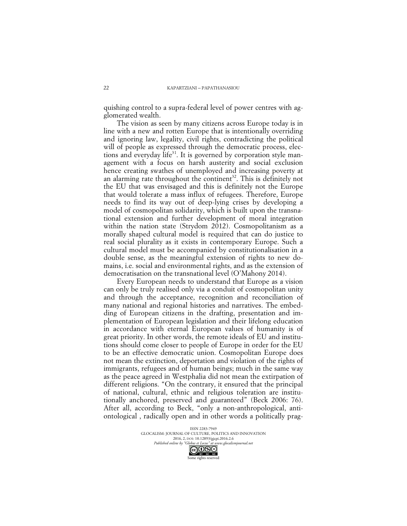quishing control to a supra-federal level of power centres with agglomerated wealth.

The vision as seen by many citizens across Europe today is in line with a new and rotten Europe that is intentionally overriding and ignoring law, legality, civil rights, contradicting the political will of people as expressed through the democratic process, elections and everyday life<sup>31</sup>. It is governed by corporation style management with a focus on harsh austerity and social exclusion hence creating swathes of unemployed and increasing poverty at an alarming rate throughout the continent<sup>32</sup>. This is definitely not the EU that was envisaged and this is definitely not the Europe that would tolerate a mass influx of refugees. Therefore, Europe needs to find its way out of deep-lying crises by developing a model of cosmopolitan solidarity, which is built upon the transnational extension and further development of moral integration within the nation state (Strydom 2012). Cosmopolitanism as a morally shaped cultural model is required that can do justice to real social plurality as it exists in contemporary Europe. Such a cultural model must be accompanied by constitutionalisation in a double sense, as the meaningful extension of rights to new domains, i.e. social and environmental rights, and as the extension of democratisation on the transnational level (O'Mahony 2014).

Every European needs to understand that Europe as a vision can only be truly realised only via a conduit of cosmopolitan unity and through the acceptance, recognition and reconciliation of many national and regional histories and narratives. The embedding of European citizens in the drafting, presentation and implementation of European legislation and their lifelong education in accordance with eternal European values of humanity is of great priority. In other words, the remote ideals of EU and institutions should come closer to people of Europe in order for the EU to be an effective democratic union. Cosmopolitan Europe does not mean the extinction, deportation and violation of the rights of immigrants, refugees and of human beings; much in the same way as the peace agreed in Westphalia did not mean the extirpation of different religions. "On the contrary, it ensured that the principal of national, cultural, ethnic and religious toleration are institutionally anchored, preserved and guaranteed" (Beck 2006: 76). After all, according to Beck, "only a non-anthropological, antiontological , radically open and in other words a politically prag-

> ISSN 2283-7949 GLOCALISM: JOURNAL OF CULTURE, POLITICS AND INNOVATION 2016, 2, DOI: 10.12893/gjcpi.2016.2.6<br>nline by "Globus et Locus" at www.glocalismiournal net *Published online by "Globus et Locus" at www.glocalismigues*

Some rights reserved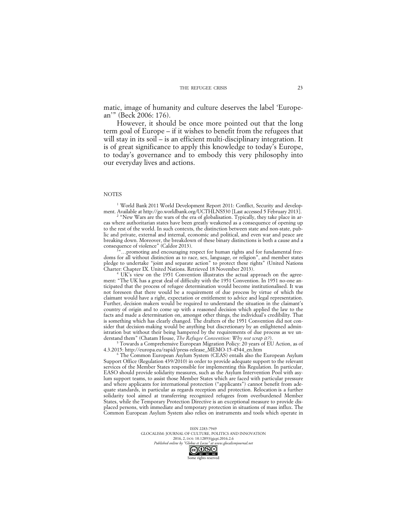matic, image of humanity and culture deserves the label 'European'" (Beck 2006: 176).

However, it should be once more pointed out that the long term goal of Europe – if it wishes to benefit from the refugees that will stay in its soil – is an efficient multi-disciplinary integration. It is of great significance to apply this knowledge to today's Europe, to today's governance and to embody this very philosophy into our everyday lives and actions.

#### NOTES

<sup>1</sup> World Bank 2011 World Development Report 2011: Conflict, Security and development. Available at http://go.worldbank.org/UCTHLNS530 [Last accessed 5 February 2013].

<sup>2</sup> "New Wars are the wars of the era of globalisation. Typically, they take place in areas where authoritarian states have been greatly weakened as a consequence of opening up to the rest of the world. In such contexts, the distinction between state and non-state, public and private, external and internal, economic and political, and even war and peace are breaking down. Moreover, the breakdown of these binary distinctions is both a cause and a consequence of violence" (Caldor 2013).

...promoting and encouraging respect for human rights and for fundamental freedoms for all without distinction as to race, sex, language, or religion", and member states pledge to undertake "joint and separate action" to protect these rights" (United Nations Charter: Chapter IX. United Nations. Retrieved 18 November 2013).

<sup>4</sup> UK's view on the 1951 Convention illustrates the actual approach on the agreement: "The UK has a great deal of difficulty with the 1951 Convention. In 1951 no-one anticipated that the process of refugee determination would become institutionalised. It was not foreseen that there would be a requirement of due process by virtue of which the claimant would have a right, expectation or entitlement to advice and legal representation. Further, decision makers would be required to understand the situation in the claimant's country of origin and to come up with a reasoned decision which applied the law to the facts and made a determination on, amongst other things, the individual's credibility. That is something which has clearly changed. The drafters of the 1951 Convention did not consider that decision-making would be anything but discretionary by an enlightened administration but without their being hampered by the requirements of due process as we understand them" (Chatam House, *The Refugee Convention: Why not scrap it?*).

<sup>5</sup> Towards a Comprehensive European Migration Policy: 20 years of EU Action, as of 4.3.2015: http://europa.eu/rapid/press-release\_MEMO-15-4544\_en.htm

<sup>6</sup> The Common European Asylum System (CEAS) entails also the European Asylum Support Office (Regulation 439/2010) in order to provide adequate support to the relevant services of the Member States responsible for implementing this Regulation. In particular, EASO should provide solidarity measures, such as the Asylum Intervention Pool with asylum support teams, to assist those Member States which are faced with particular pressure and where applicants for international protection ("applicants") cannot benefit from adequate standards, in particular as regards reception and protection. Relocation is a further solidarity tool aimed at transferring recognized refugees from overburdened Member States, while the Temporary Protection Directive is an exceptional measure to provide displaced persons, with immediate and temporary protection in situations of mass influx. The Common European Asylum System also relies on instruments and tools which operate in

> ISSN 2283-7949 GLOCALISM: JOURNAL OF CULTURE, POLITICS AND INNOVATION 2016, 2, DOI: 10.12893/gjcpi.2016.2.6<br>nline by "Globus et Locus" at www.glocalismiournal.net *Published online by "Globus et Locus" at www.glocalismjournal.net*

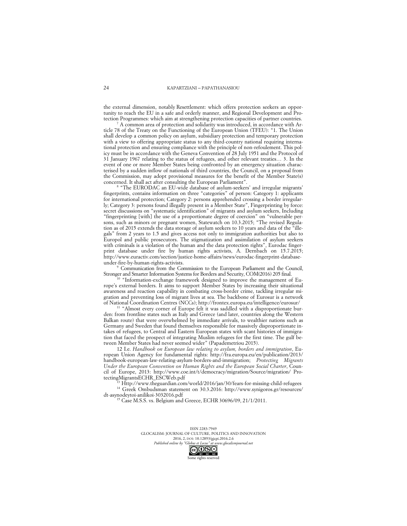the external dimension, notably Resettlement: which offers protection seekers an opportunity to reach the EU in a safe and orderly manner, and Regional Development and Protection Programmes: which aim at strengthening protection capacities of partner countries.

A common area of protection and solidarity was introduced, in accordance with Article 78 of the Treaty on the Functioning of the European Union (TFEU): "1. The Union shall develop a common policy on asylum, subsidiary protection and temporary protection with a view to offering appropriate status to any third-country national requiring international protection and ensuring compliance with the principle of non-refoulement. This policy must be in accordance with the Geneva Convention of 28 July 1951 and the Protocol of 31 January 1967 relating to the status of refugees, and other relevant treaties… 3. In the event of one or more Member States being confronted by an emergency situation characterised by a sudden inflow of nationals of third countries, the Council, on a proposal from the Commission, may adopt provisional measures for the benefit of the Member State(s) concerned. It shall act after consulting the European Parliament".

<sup>8</sup> "The EURODAC an EU-wide database of asylum-seekers' and irregular migrants' fingerprints, contains information on three "categories" of person: Category 1: applicants for international protection; Category 2: persons apprehended crossing a border irregularly; Category 3: persons found illegally present in a Member State", Fingerprinting by force: secret discussions on "systematic identification" of migrants and asylum seekers, Including "fingerprinting [with] the use of a proportionate degree of coercion" on "vulnerable persons, such as minors or pregnant women, Statewatch on 10.3.2015; "The revised Regulation as of 2015 extends the data storage of asylum seekers to 10 years and data of the "illegals" from 2 years to 1.5 and gives access not only to immigration authorities but also to Europol and public prosecutors. The stigmatization and assimilation of asylum seekers with criminals is a violation of the human and the data protection rights", Eurodac fingerprint database under fire by human rights activists, A. Dernbach on 15.7.2015; http://www.euractiv.com/section/justice-home-affairs/news/eurodac-fingerprint-databaseunder-fire-by-human-rights-activists.

<sup>9</sup> Communication from the Commission to the European Parliament and the Council, Stronger and Smarter Information Systems for Borders and Security, COM(2016) 205 final.

"Information-exchange framework designed to improve the management of Europe's external borders. It aims to support Member States by increasing their situational awareness and reaction capability in combating cross-border crime, tackling irregular migration and preventing loss of migrant lives at sea. The backbone of Eurosur is a network of National Coordination Centres (NCCs); http://frontex.europa.eu/intelligence/eurosur/

<sup>11</sup> "Almost every corner of Europe felt it was saddled with a disproportionate burden: from frontline states such as Italy and Greece (and later, countries along the Western Balkan route) that were overwhelmed by immediate arrivals, to wealthier nations such as Germany and Sweden that found themselves responsible for massively disproportionate intakes of refugees, to Central and Eastern European states with scant histories of immigration that faced the prospect of integrating Muslim refugees for the first time. The gulf between Member States had never seemed wider" (Papademetriou 2015).

12 I.e. *Handbook on European law relating to asylum, borders and immigration*, European Union Agency for fundamental rights: http://fra.europa.eu/en/publication/2013/ handbook-european-law-relating-asylum-borders-and-immigration; *Protecting Migrants Under the European Convention on Human Rights and the European Social Charter*, Council of Europe, 2013: http://www.coe.int/t/democracy/migration/Source/migration/ ProtectingMigrantsECHR\_ESCWeb.pdf

<sup>13</sup> Http://www.theguardian.com/world/2016/jan/30/fears-for-missing-child-refugees <sup>14</sup> Greek Ombudsman statement on 30.3.2016: http://www.synigoros.gr/resources/ dt-asynodeytoi-anilikoi-3032016.pdf

<sup>15</sup> Case M.S.S. vs. Belgium and Greece, ECHR 30696/09, 21/1/2011.

ISSN 2283-7949 GLOCALISM: JOURNAL OF CULTURE, POLITICS AND INNOVATION 2016, 2, DOI: 10.12893/gjcpi.2016.2.6<br>nline by "Globus et Locus" at www.elocalismiournal.net

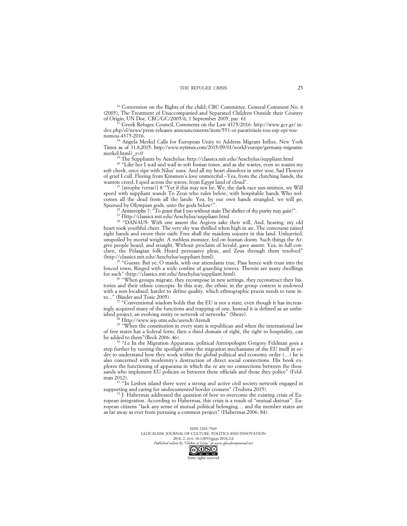<sup>16</sup> Convention on the Rights of the child; CRC Committee, General Comment No. 6 (2005), The Treatment of Unaccompanied and Separated Children Outside their Country of Origin, UN Doc. CRC/GC/2005/6, 1 September 2005, par. 61

Greek Refugee Council, Comments on the Law 4375/2016: http://www.gcr.gr/ index.php/el/news/press-releases-announcements/item/551-oi-paratiriseis-tou-esp-epi-tounomou-4375-2016.

<sup>18</sup> Angela Merkel Calls for European Unity to Address Migrant Influx, New York Times as of 31.8.2015: http://www.nytimes.com/2015/09/01/world/europe/germany-migrantsmerkel.html? $r=0$ 

<sup>19</sup> The Suppliants by Aeschylus: http://classics.mit.edu/Aeschylus/suppliant.html

<sup>20</sup> "Like her I wail and wail in soft Ionian tones, and as she wastes, even so wastes my soft cheek, once ripe with Nilus' suns. And all my heart dissolves in utter woe, Sad Flowers of grief I cull. Fleeing from Kinsmen's love unmerciful –Yea, from the clutching hands, the wanton creed, I sped across the waves, from Egypt land of cloud".

<sup>21</sup> [strophe (verse)] 8 "Yet if this may not be, We, the dark race sun-smitten, we Will speed with suppliant wands To Zeus who rules below, with hospitable hands Who welcomes all the dead from all the lands: Yea, by our own hands strangled, we will go, Spurned by Olympian gods, unto the gods below!".

 $^{22}$  Antistrophe 7: "To grant that I too without stain The shelter of thy purity may gain!".

<sup>23</sup> Http://classics.mit.edu/Aeschylus/suppliant.html

<sup>24</sup> "DANAUS: With one assent the Argives sake their will, And, hearing, my old heart took youthful cheer. The very sky was thrilled when high in air, The concourse raised right hands and swore their oath: Free shall the maidens sojourn in this land. Unhurried, unspoiled by mortal weight. A ruthless monster, fed on human doom. Such things the Argive people heard, and straight, Without proclaim of herald, gave assent: Yea, in full conclave, the Pelasgian folk Heard persuasive pleas, and Zeus through them resolved" (http://classics.mit.edu/Aeschylus/suppliant.html).

<sup>25</sup> "Guests: But ye, O maids, with our attendants true, Pass hence with trust into the fenced town, Ringed with a wide confine of guarding towers. Therein are many dwellings for such" (http://classics.mit.edu/Aeschylus/suppliant.html).

<sup>26</sup> "When groups migrate, they recompose in new settings, they reconstruct their histories and their ethnic concepts. In this way, the ethnic in the group context is endowed with a non-localised, harder to define quality, which ethnographic praxis needs to tune into..." (Binder and Tosic 2005).

"Conventional wisdom holds that the EU is not a state, even though it has increasingly acquired many of the functions and trapping of one. Instead it is defined as an unfinished project, an evolving entity or network of networks" (Shore).

<sup>28</sup> Http://www.iep.utm.edu/arendt/Arendt

<sup>29</sup> "When the constitution in every state is republican and when the international law of free states has a federal form, then a third domain of right, the right to hospitality, can be added to them"(Beck 2006: 46).

"f.e In the Migration Apparatus, political Antropologist Gregory Feldman goes a step further by turning the spotlight onto the migration mechanisms of the EU itself in order to understand how they work within the global political and economy order (…) he is also concerned with modernity's destruction of direct social connections. His book explores the functioning of apparatus in which the re are no connections between the thousands who implement EU policies or between these officials and those they police" (Feldman 2012).

<sup>31</sup> "In Lesbos island there were a strong and active civil society network engaged in supporting and caring for undocumented border crossers" (Trubeta 2015).

 $32 \text{ J}$ . Habermas addressed the question of how to overcome the existing crisis of European integration. According to Habermas, this crisis is a result of "mutual distrust". European citizens "lack any sense of mutual political belonging… and the member states are as far away as ever from pursuing a common project" (Habermas 2006: 84).

> ISSN 2283-7949 GLOCALISM: JOURNAL OF CULTURE, POLITICS AND INNOVATION 2016, 2, DOI: 10.12893/gjcpi.2016.2.6<br>nline by "Globus et Locus" at www.glocalismiournal.net

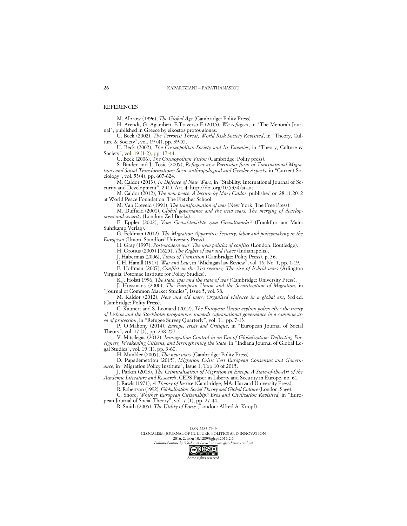REFERENCES

M. Albrow (1996), *The Global Age* (Cambridge: Polity Press).

H. Arendt, G. Agamben, E.Traverso E (2015), *We refugees*, in "The Menorah Journal", published in Greece by eikostos protos aionas.

U. Beck (2002), *The Terrorist Threat, World Risk Society Revisited*, in "Theory, Culture & Society", vol. 19 (4), pp. 39-55.

U. Beck (2002), *The Cosmopolitan Society and Its Enemies*, in "Theory, Culture & Society", vol. 19 (1-2), pp. 17-44.

U. Beck (2006), *The Cosmopolitan Vision* (Cambridge: Polity press).

S. Binder and J. Tosic (2005), *Refugees as a Particular form of Transnational Migrations and Social Transformations: Socio-anthropological and Gender Aspects*, in "Current Sociology", vol. 53(4), pp. 607-624.

M. Caldor (2013), *In Defence of New Wars*, in "Stability: International Journal of Security and Development", 2 (1), Art. 4: http://doi.org/10.5334/sta.at

M. Caldor (2012), *The new peace: A lecture by Mary Caldor*, published on 28.11.2012 at World Peace Foundation, The Fletcher School.

M. Van Creveld (1991), *The transformation of war* (New York: The Free Press).

M. Duffield (2001), *Global governance and the new wars: The merging of development and security* (London: Zed Books).

E. Eppler (2002), *Vom Gewaktmärkte zum Gewaltmarkt?* (Frankfurt am Main: Suhrkamp Verlag).

G. Feldman (2012), *The Migration Apparatus: Security, labor and policymaking in the European* (Union, Standford University Press).

H. Gray (1997), *Post-modern war: The new politics of conflict* (London: Routledge).

H. Grotius (2005) [1625], *The Rights of war and Peace* (Indianapolis).

J. Habermas (2006), *Times of Transition* (Cambridge: Polity Press), p. 36.

C.H. Hamill (1917), *War and Law*, in "Michigan law Review", vol. 16, No. 1, pp. 1-19.

F. Hoffman (2007), *Conflict in the 21st century; The rise of hybrid wars* (Arlington Virginia: Potomac Institute for Policy Studies).

K.J. Holsti 1996, *The state, war and the state of war (*Cambridge: University Press).

J. Huysmans (2000), *The European Union and the Securitization of Migration*, in "Journal of Common Market Studies", Issue 5, vol. 38.

M. Kaldor (2012), *New and old wars: Organised violence in a global era*, 3rd ed. (Cambridge: Polity Press).

C. Kaunert and S. Leonard (2012), *The European Union asylum policy after the treaty of Lisbon and the Stockholm programme: towards supranational governance in a common area of protection*, in "Refugee Survey Quarterly", vol. 31, pp. 7-13.

P. O'Mahony (2014), *Europe, crisis and Critique*, in "European Journal of Social Theory", vol. 17 (3), pp. 238-257.

V. Mitsilegas (2012), *Immigration Control in an Era of Globalization: Deflecting Foreigners, Weakening Citizens, and Strengthening the State*, in "Indiana Journal of Global Legal Studies", vol. 19 (1), pp. 3-60.

H. Munkler (2005), *The new wars* (Cambridge: Polity Press).

D. Papademetriou (2015), *Migration Crisis Test European Consensus and Governance*, in "Migration Policy Institute", Issue 1, Top 10 of 2015.

J. Parkin (2013), *The Criminalisation of Migration in Europe A State-of-the-Art of the Academic Literature and Research*, CEPS Paper in Liberty and Security in Europe, no. 61.

J. Rawls (1971), *A Theory of Justic*e (Cambridge, MA: Harvard University Press).

R. Robertson (1992), *Globalization: Social Theory and Global Culture* (London: Sage).

C. Shore, *Whither European Citizenship? Eros and Civilization Revisited*, in "European Journal of Social Theory", vol. 7 (1), pp. 27-44.

R. Smith (2005), *The Utility of Force* (London: Alfred A. Knopf).

ISSN 2283-7949 GLOCALISM: JOURNAL OF CULTURE, POLITICS AND INNOVATION 2016, 2, DOI: 10.12893/gjcpi.2016.2.6<br>nline by "Globus et Locus" at www.glocalismiournal.net